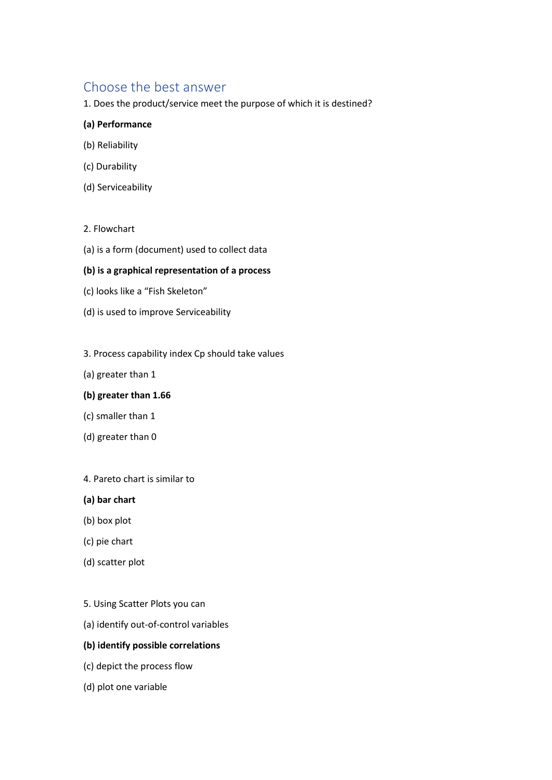# Choose the best answer

1. Does the product/service meet the purpose of which it is destined?

## **(a) Performance**

- (b) Reliability
- (c) Durability
- (d) Serviceability

## 2. Flowchart

(a) is a form (document) used to collect data

## **(b) is a graphical representation of a process**

- (c) looks like a "Fish Skeleton"
- (d) is used to improve Serviceability

#### 3. Process capability index Cp should take values

(a) greater than 1

#### **(b) greater than 1.66**

- (c) smaller than 1
- (d) greater than 0

#### 4. Pareto chart is similar to

- **(a) bar chart**
- (b) box plot
- (c) pie chart
- (d) scatter plot
- 5. Using Scatter Plots you can
- (a) identify out-of-control variables

# **(b) identify possible correlations**

- (c) depict the process flow
- (d) plot one variable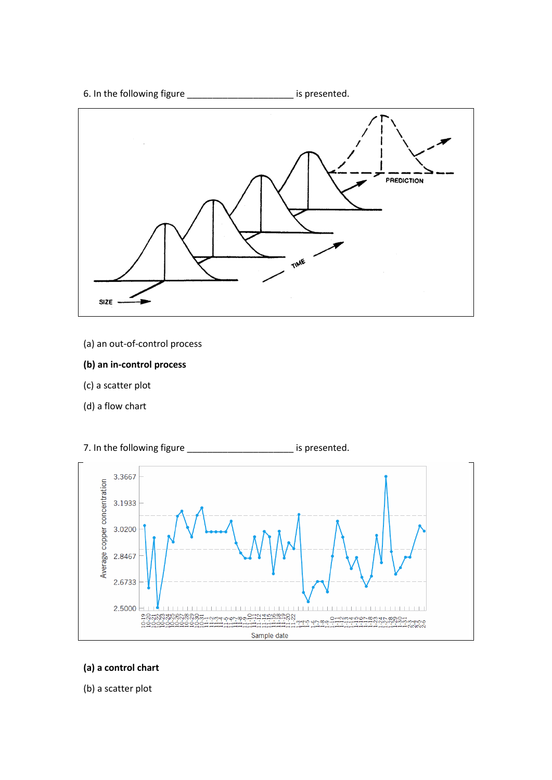6. In the following figure \_\_\_\_\_\_\_\_\_\_\_\_\_\_\_\_\_\_\_\_\_ is presented.



- (a) an out-of-control process
- **(b) an in-control process**
- (c) a scatter plot
- (d) a flow chart



7. In the following figure \_\_\_\_\_\_\_\_\_\_\_\_\_\_\_\_\_\_\_\_\_\_\_\_\_ is presented.

- **(a) a control chart**
- (b) a scatter plot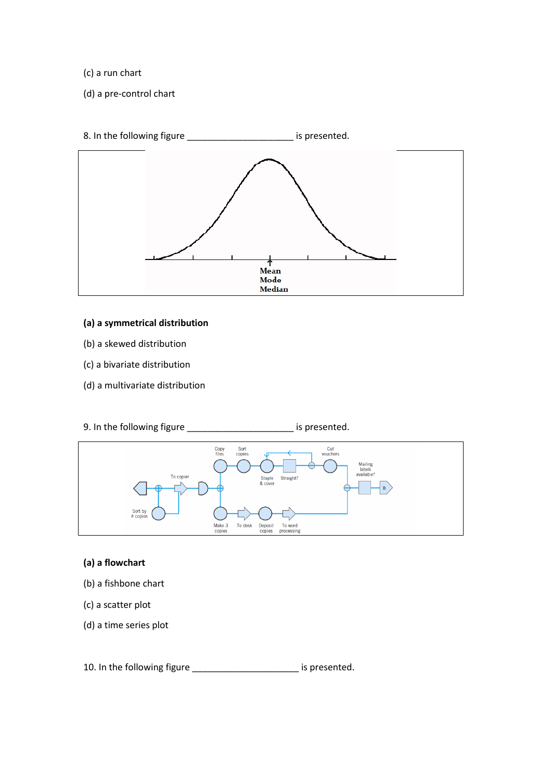- (c) a run chart
- (d) a pre-control chart



- **(a) a symmetrical distribution**
- (b) a skewed distribution
- (c) a bivariate distribution
- (d) a multivariate distribution
- 9. In the following figure \_\_\_\_\_\_\_\_\_\_\_\_\_\_\_\_\_\_\_\_\_ is presented.



## **(a) a flowchart**

- (b) a fishbone chart
- (c) a scatter plot
- (d) a time series plot

10. In the following figure \_\_\_\_\_\_\_\_\_\_\_\_\_\_\_\_\_\_\_\_\_ is presented.